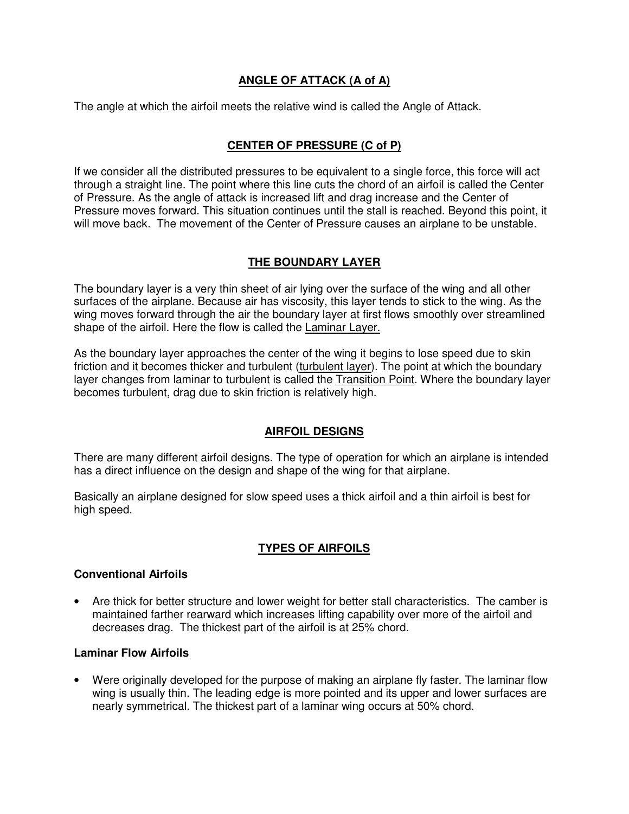# **ANGLE OF ATTACK (A of A)**

The angle at which the airfoil meets the relative wind is called the Angle of Attack.

# **CENTER OF PRESSURE (C of P)**

If we consider all the distributed pressures to be equivalent to a single force, this force will act through a straight line. The point where this line cuts the chord of an airfoil is called the Center of Pressure. As the angle of attack is increased lift and drag increase and the Center of Pressure moves forward. This situation continues until the stall is reached. Beyond this point, it will move back. The movement of the Center of Pressure causes an airplane to be unstable.

## **THE BOUNDARY LAYER**

The boundary layer is a very thin sheet of air lying over the surface of the wing and all other surfaces of the airplane. Because air has viscosity, this layer tends to stick to the wing. As the wing moves forward through the air the boundary layer at first flows smoothly over streamlined shape of the airfoil. Here the flow is called the Laminar Layer.

As the boundary layer approaches the center of the wing it begins to lose speed due to skin friction and it becomes thicker and turbulent (turbulent layer). The point at which the boundary layer changes from laminar to turbulent is called the Transition Point. Where the boundary layer becomes turbulent, drag due to skin friction is relatively high.

## **AIRFOIL DESIGNS**

There are many different airfoil designs. The type of operation for which an airplane is intended has a direct influence on the design and shape of the wing for that airplane.

Basically an airplane designed for slow speed uses a thick airfoil and a thin airfoil is best for high speed.

## **TYPES OF AIRFOILS**

#### **Conventional Airfoils**

• Are thick for better structure and lower weight for better stall characteristics. The camber is maintained farther rearward which increases lifting capability over more of the airfoil and decreases drag. The thickest part of the airfoil is at 25% chord.

#### **Laminar Flow Airfoils**

• Were originally developed for the purpose of making an airplane fly faster. The laminar flow wing is usually thin. The leading edge is more pointed and its upper and lower surfaces are nearly symmetrical. The thickest part of a laminar wing occurs at 50% chord.